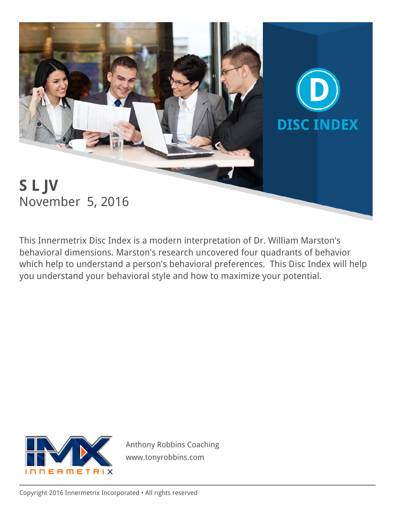

This Innermetrix Disc Index is a modern interpretation of Dr. William Marston's behavioral dimensions. Marston's research uncovered four quadrants of behavior which help to understand a person's behavioral preferences. This Disc Index will help you understand your behavioral style and how to maximize your potential.



Anthony Robbins Coaching www.tonyrobbins.com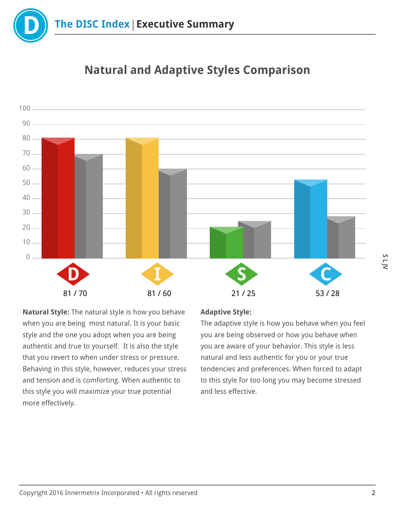



# Natural and Adaptive Styles Comparison

Natural Style: The natural style is how you behave when you are being most natural. It is your basic style and the one you adopt when you are being authentic and true to yourself. It is also the style that you revert to when under stress or pressure. Behaving in this style, however, reduces your stress and tension and is comforting. When authentic to this style you will maximize your true potential more effectively.

#### Adaptive Style:

The adaptive style is how you behave when you feel you are being observed or how you behave when you are aware of your behavior. This style is less natural and less authentic for you or your true tendencies and preferences. When forced to adapt to this style for too long you may become stressed and less effective.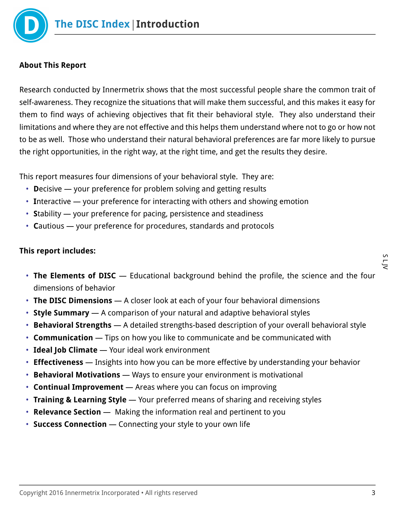

#### About This Report

Research conducted by Innermetrix shows that the most successful people share the common trait of self-awareness. They recognize the situations that will make them successful, and this makes it easy for them to find ways of achieving objectives that fit their behavioral style. They also understand their limitations and where they are not effective and this helps them understand where not to go or how not to be as well. Those who understand their natural behavioral preferences are far more likely to pursue the right opportunities, in the right way, at the right time, and get the results they desire.

This report measures four dimensions of your behavioral style. They are:

- Decisive your preference for problem solving and getting results
- Interactive your preference for interacting with others and showing emotion
- Stability your preference for pacing, persistence and steadiness
- Cautious your preference for procedures, standards and protocols

#### This report includes:

- The Elements of DISC Educational background behind the profile, the science and the four dimensions of behavior
- The DISC Dimensions A closer look at each of your four behavioral dimensions
- Style Summary A comparison of your natural and adaptive behavioral styles
- Behavioral Strengths A detailed strengths-based description of your overall behavioral style
- **Communication** Tips on how you like to communicate and be communicated with
- Ideal Job Climate Your ideal work environment
- **Effectiveness** Insights into how you can be more effective by understanding your behavior
- Behavioral Motivations Ways to ensure your environment is motivational
- Continual Improvement Areas where you can focus on improving
- Training & Learning Style Your preferred means of sharing and receiving styles
- Relevance Section Making the information real and pertinent to you
- Success Connection Connecting your style to your own life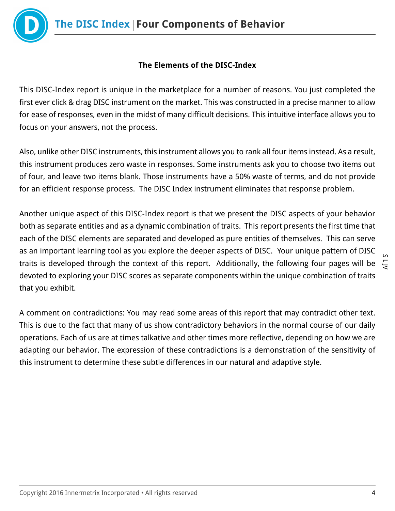

## The Elements of the DISC-Index

This DISC-Index report is unique in the marketplace for a number of reasons. You just completed the first ever click & drag DISC instrument on the market. This was constructed in a precise manner to allow for ease of responses, even in the midst of many difficult decisions. This intuitive interface allows you to focus on your answers, not the process.

Also, unlike other DISC instruments, this instrument allows you to rank all four items instead. As a result, this instrument produces zero waste in responses. Some instruments ask you to choose two items out of four, and leave two items blank. Those instruments have a 50% waste of terms, and do not provide for an efficient response process. The DISC Index instrument eliminates that response problem.

Another unique aspect of this DISC-Index report is that we present the DISC aspects of your behavior both as separate entities and as a dynamic combination of traits. This report presents the first time that each of the DISC elements are separated and developed as pure entities of themselves. This can serve as an important learning tool as you explore the deeper aspects of DISC. Your unique pattern of DISC traits is developed through the context of this report. Additionally, the following four pages will be devoted to exploring your DISC scores as separate components within the unique combination of traits that you exhibit.

A comment on contradictions: You may read some areas of this report that may contradict other text. This is due to the fact that many of us show contradictory behaviors in the normal course of our daily operations. Each of us are at times talkative and other times more reflective, depending on how we are adapting our behavior. The expression of these contradictions is a demonstration of the sensitivity of this instrument to determine these subtle differences in our natural and adaptive style.

 $\overline{\zeta}$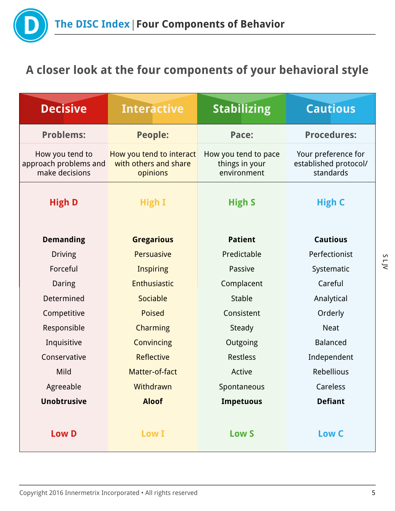

# A closer look at the four components of your behavioral style

| <b>Decisive</b>                                            | <b>Interactive</b>                                            | <b>Stabilizing</b>                                    | <b>Cautious</b>                                           |
|------------------------------------------------------------|---------------------------------------------------------------|-------------------------------------------------------|-----------------------------------------------------------|
| <b>Problems:</b>                                           | <b>People:</b>                                                | Pace:                                                 | <b>Procedures:</b>                                        |
| How you tend to<br>approach problems and<br>make decisions | How you tend to interact<br>with others and share<br>opinions | How you tend to pace<br>things in your<br>environment | Your preference for<br>established protocol/<br>standards |
| <b>High D</b>                                              | High I                                                        | <b>High S</b>                                         | <b>High C</b>                                             |
| <b>Demanding</b>                                           | <b>Gregarious</b>                                             | <b>Patient</b>                                        | <b>Cautious</b>                                           |
| <b>Driving</b>                                             | <b>Persuasive</b>                                             | Predictable                                           | Perfectionist                                             |
| Forceful                                                   | <b>Inspiring</b>                                              | Passive                                               | Systematic                                                |
| Daring                                                     | Enthusiastic                                                  | Complacent                                            | Careful                                                   |
| Determined                                                 | Sociable                                                      | <b>Stable</b>                                         | Analytical                                                |
| Competitive                                                | <b>Poised</b>                                                 | Consistent                                            | Orderly                                                   |
| Responsible                                                | Charming                                                      | Steady                                                | <b>Neat</b>                                               |
| Inquisitive                                                | Convincing                                                    | Outgoing                                              | <b>Balanced</b>                                           |
| Conservative                                               | <b>Reflective</b>                                             | <b>Restless</b>                                       | Independent                                               |
| Mild                                                       | Matter-of-fact                                                | Active                                                | Rebellious                                                |
| Agreeable                                                  | Withdrawn                                                     | Spontaneous                                           | Careless                                                  |
| <b>Unobtrusive</b>                                         | <b>Aloof</b>                                                  | <b>Impetuous</b>                                      | <b>Defiant</b>                                            |
| <b>Low D</b>                                               | <b>Low I</b>                                                  | <b>Low S</b>                                          | Low C                                                     |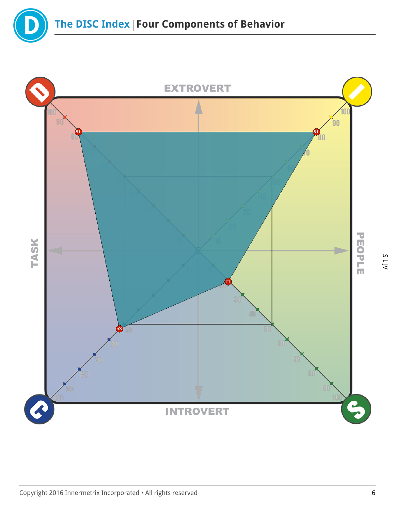

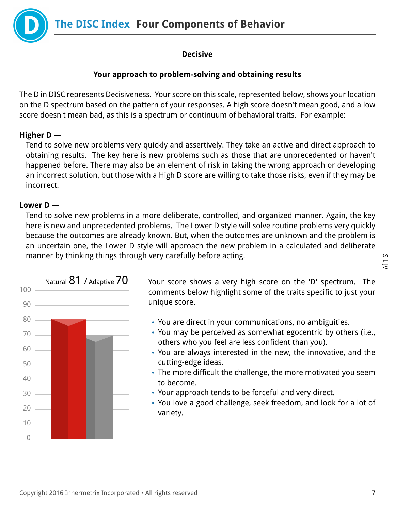The DISC Index | Four Components of Behavior



## Decisive

## Your approach to problem-solving and obtaining results

The D in DISC represents Decisiveness. Your score on this scale, represented below, shows your location on the D spectrum based on the pattern of your responses. A high score doesn't mean good, and a low score doesn't mean bad, as this is a spectrum or continuum of behavioral traits. For example:

## Higher D —

Tend to solve new problems very quickly and assertively. They take an active and direct approach to obtaining results. The key here is new problems such as those that are unprecedented or haven't happened before. There may also be an element of risk in taking the wrong approach or developing an incorrect solution, but those with a High D score are willing to take those risks, even if they may be incorrect.

#### Lower D —

Tend to solve new problems in a more deliberate, controlled, and organized manner. Again, the key here is new and unprecedented problems. The Lower D style will solve routine problems very quickly because the outcomes are already known. But, when the outcomes are unknown and the problem is an uncertain one, the Lower D style will approach the new problem in a calculated and deliberate manner by thinking things through very carefully before acting.



Natural  $81$  / Adaptive  $70$  Your score shows a very high score on the 'D' spectrum. The comments below highlight some of the traits specific to just your unique score.

- You are direct in your communications, no ambiguities.
- You may be perceived as somewhat egocentric by others (i.e., others who you feel are less confident than you).
- You are always interested in the new, the innovative, and the cutting-edge ideas.
- The more difficult the challenge, the more motivated you seem to become.
- Your approach tends to be forceful and very direct.
- You love a good challenge, seek freedom, and look for a lot of variety.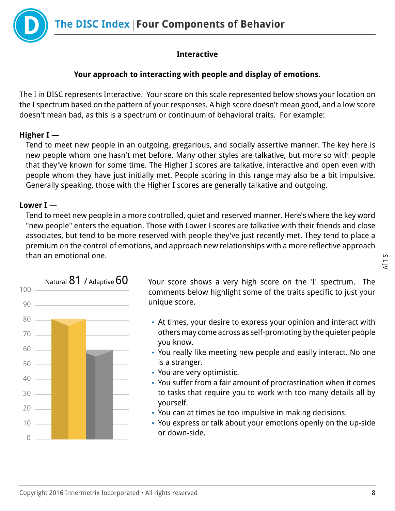

## Interactive

#### Your approach to interacting with people and display of emotions.

The I in DISC represents Interactive. Your score on this scale represented below shows your location on the I spectrum based on the pattern of your responses. A high score doesn't mean good, and a low score doesn't mean bad, as this is a spectrum or continuum of behavioral traits. For example:

#### Higher I —

Tend to meet new people in an outgoing, gregarious, and socially assertive manner. The key here is new people whom one hasn't met before. Many other styles are talkative, but more so with people that they've known for some time. The Higher I scores are talkative, interactive and open even with people whom they have just initially met. People scoring in this range may also be a bit impulsive. Generally speaking, those with the Higher I scores are generally talkative and outgoing.

## Lower I —

Tend to meet new people in a more controlled, quiet and reserved manner. Here's where the key word "new people" enters the equation. Those with Lower I scores are talkative with their friends and close associates, but tend to be more reserved with people they've just recently met. They tend to place a premium on the control of emotions, and approach new relationships with a more reflective approach than an emotional one.



Natural  $81$  / Adaptive  $60$  Your score shows a very high score on the 'I' spectrum. The comments below highlight some of the traits specific to just your unique score.

- At times, your desire to express your opinion and interact with others may come across as self-promoting by the quieter people you know.
- You really like meeting new people and easily interact. No one is a stranger.
- You are very optimistic.
- You suffer from a fair amount of procrastination when it comes to tasks that require you to work with too many details all by yourself.
- You can at times be too impulsive in making decisions.
- You express or talk about your emotions openly on the up-side or down-side.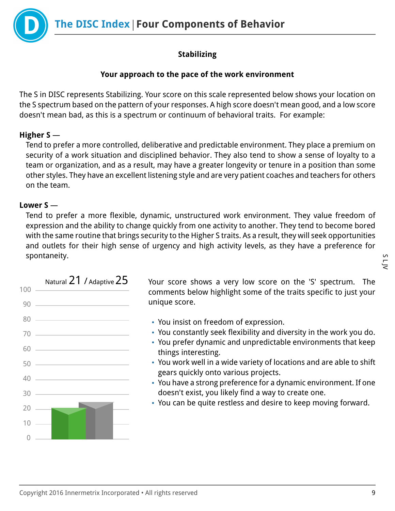The DISC Index | Four Components of Behavior



# Stabilizing

## Your approach to the pace of the work environment

The S in DISC represents Stabilizing. Your score on this scale represented below shows your location on the S spectrum based on the pattern of your responses. A high score doesn't mean good, and a low score doesn't mean bad, as this is a spectrum or continuum of behavioral traits. For example:

# Higher S —

Tend to prefer a more controlled, deliberative and predictable environment. They place a premium on security of a work situation and disciplined behavior. They also tend to show a sense of loyalty to a team or organization, and as a result, may have a greater longevity or tenure in a position than some other styles. They have an excellent listening style and are very patient coaches and teachers for others on the team.

## Lower S —

Tend to prefer a more flexible, dynamic, unstructured work environment. They value freedom of expression and the ability to change quickly from one activity to another. They tend to become bored with the same routine that brings security to the Higher S traits. As a result, they will seek opportunities and outlets for their high sense of urgency and high activity levels, as they have a preference for spontaneity.



Natural  $21$  / Adaptive  $25$  Your score shows a very low score on the 'S' spectrum. The comments below highlight some of the traits specific to just your unique score.

- You insist on freedom of expression.
- You constantly seek flexibility and diversity in the work you do.
- You prefer dynamic and unpredictable environments that keep things interesting.
- You work well in a wide variety of locations and are able to shift gears quickly onto various projects.
- You have a strong preference for a dynamic environment. If one doesn't exist, you likely find a way to create one.
- You can be quite restless and desire to keep moving forward.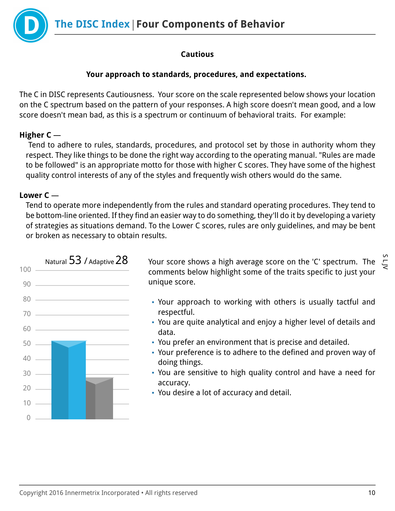The DISC Index | Four Components of Behavior

## Cautious

## Your approach to standards, procedures, and expectations.

The C in DISC represents Cautiousness. Your score on the scale represented below shows your location on the C spectrum based on the pattern of your responses. A high score doesn't mean good, and a low score doesn't mean bad, as this is a spectrum or continuum of behavioral traits. For example:

## Higher C —

 Tend to adhere to rules, standards, procedures, and protocol set by those in authority whom they respect. They like things to be done the right way according to the operating manual. "Rules are made to be followed" is an appropriate motto for those with higher C scores. They have some of the highest quality control interests of any of the styles and frequently wish others would do the same.

## Lower C —

Tend to operate more independently from the rules and standard operating procedures. They tend to be bottom-line oriented. If they find an easier way to do something, they'll do it by developing a variety of strategies as situations demand. To the Lower C scores, rules are only guidelines, and may be bent or broken as necessary to obtain results.



Natural  $53$  / Adaptive  $28$  Your score shows a high average score on the 'C' spectrum. The  $\sum_{n=1}^{\infty}$ comments below highlight some of the traits specific to just your unique score.

- Your approach to working with others is usually tactful and respectful.
- You are quite analytical and enjoy a higher level of details and data.
- You prefer an environment that is precise and detailed.
- Your preference is to adhere to the defined and proven way of doing things.
- You are sensitive to high quality control and have a need for accuracy.
- You desire a lot of accuracy and detail.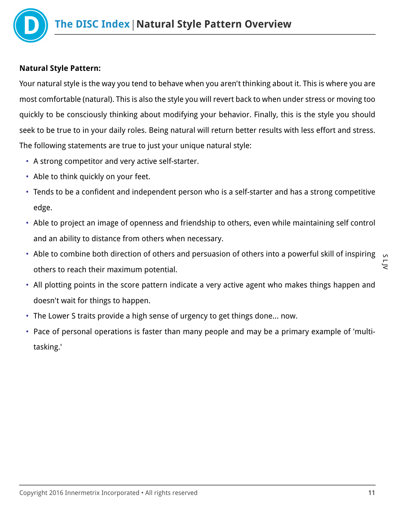

## Natural Style Pattern:

Your natural style is the way you tend to behave when you aren't thinking about it. This is where you are most comfortable (natural). This is also the style you will revert back to when under stress or moving too quickly to be consciously thinking about modifying your behavior. Finally, this is the style you should seek to be true to in your daily roles. Being natural will return better results with less effort and stress. The following statements are true to just your unique natural style:

- A strong competitor and very active self-starter.
- Able to think quickly on your feet.
- Tends to be a confident and independent person who is a self-starter and has a strong competitive edge.
- Able to project an image of openness and friendship to others, even while maintaining self control and an ability to distance from others when necessary.
- S L JV • Able to combine both direction of others and persuasion of others into a powerful skill of inspiring others to reach their maximum potential.
- All plotting points in the score pattern indicate a very active agent who makes things happen and doesn't wait for things to happen.
- The Lower S traits provide a high sense of urgency to get things done… now.
- Pace of personal operations is faster than many people and may be a primary example of 'multitasking.'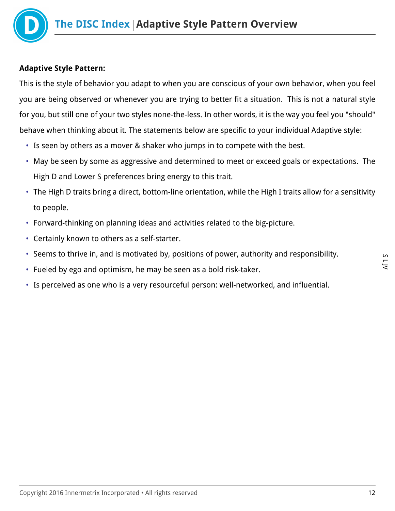

## Adaptive Style Pattern:

This is the style of behavior you adapt to when you are conscious of your own behavior, when you feel you are being observed or whenever you are trying to better fit a situation. This is not a natural style for you, but still one of your two styles none-the-less. In other words, it is the way you feel you "should" behave when thinking about it. The statements below are specific to your individual Adaptive style:

- Is seen by others as a mover & shaker who jumps in to compete with the best.
- May be seen by some as aggressive and determined to meet or exceed goals or expectations. The High D and Lower S preferences bring energy to this trait.
- The High D traits bring a direct, bottom-line orientation, while the High I traits allow for a sensitivity to people.
- Forward-thinking on planning ideas and activities related to the big-picture.
- Certainly known to others as a self-starter.
- Seems to thrive in, and is motivated by, positions of power, authority and responsibility.
- Fueled by ego and optimism, he may be seen as a bold risk-taker.
- Is perceived as one who is a very resourceful person: well-networked, and influential.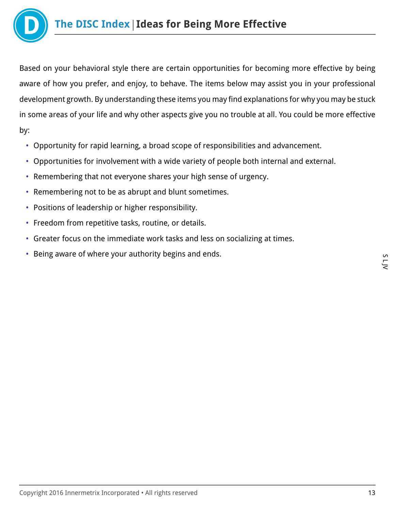

Based on your behavioral style there are certain opportunities for becoming more effective by being aware of how you prefer, and enjoy, to behave. The items below may assist you in your professional development growth. By understanding these items you may find explanations for why you may be stuck in some areas of your life and why other aspects give you no trouble at all. You could be more effective by:

- Opportunity for rapid learning, a broad scope of responsibilities and advancement.
- Opportunities for involvement with a wide variety of people both internal and external.
- Remembering that not everyone shares your high sense of urgency.
- Remembering not to be as abrupt and blunt sometimes.
- Positions of leadership or higher responsibility.
- Freedom from repetitive tasks, routine, or details.
- Greater focus on the immediate work tasks and less on socializing at times.
- Being aware of where your authority begins and ends.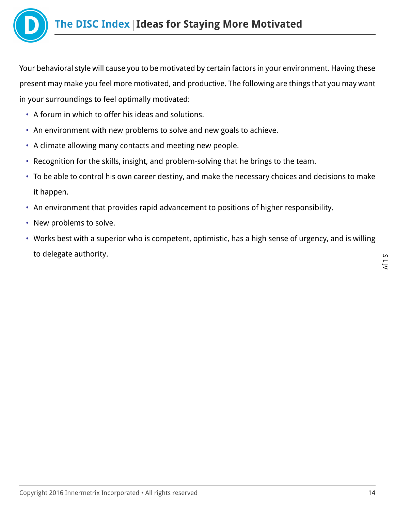

Your behavioral style will cause you to be motivated by certain factors in your environment. Having these present may make you feel more motivated, and productive. The following are things that you may want in your surroundings to feel optimally motivated:

- A forum in which to offer his ideas and solutions.
- An environment with new problems to solve and new goals to achieve.
- A climate allowing many contacts and meeting new people.
- Recognition for the skills, insight, and problem-solving that he brings to the team.
- To be able to control his own career destiny, and make the necessary choices and decisions to make it happen.
- An environment that provides rapid advancement to positions of higher responsibility.
- New problems to solve.
- Works best with a superior who is competent, optimistic, has a high sense of urgency, and is willing to delegate authority.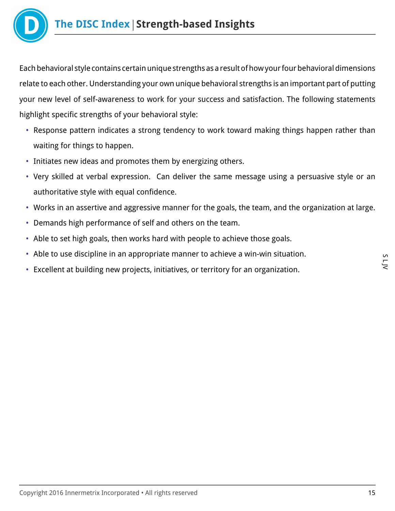

Each behavioral style contains certain unique strengths as a result of how your four behavioral dimensions relate to each other. Understanding your own unique behavioral strengths is an important part of putting your new level of self-awareness to work for your success and satisfaction. The following statements highlight specific strengths of your behavioral style:

- Response pattern indicates a strong tendency to work toward making things happen rather than waiting for things to happen.
- Initiates new ideas and promotes them by energizing others.
- Very skilled at verbal expression. Can deliver the same message using a persuasive style or an authoritative style with equal confidence.
- Works in an assertive and aggressive manner for the goals, the team, and the organization at large.
- Demands high performance of self and others on the team.
- Able to set high goals, then works hard with people to achieve those goals.
- Able to use discipline in an appropriate manner to achieve a win-win situation.
- Excellent at building new projects, initiatives, or territory for an organization.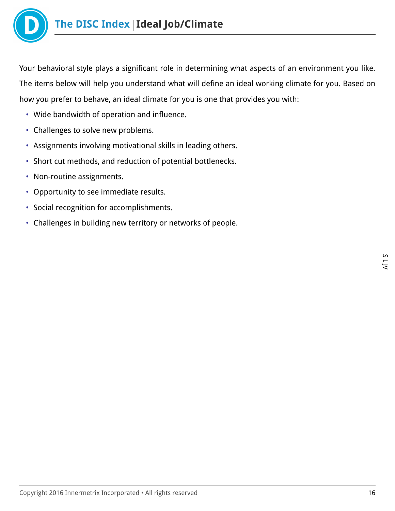

Your behavioral style plays a significant role in determining what aspects of an environment you like. The items below will help you understand what will define an ideal working climate for you. Based on how you prefer to behave, an ideal climate for you is one that provides you with:

- Wide bandwidth of operation and influence.
- Challenges to solve new problems.
- Assignments involving motivational skills in leading others.
- Short cut methods, and reduction of potential bottlenecks.
- Non-routine assignments.
- Opportunity to see immediate results.
- Social recognition for accomplishments.
- Challenges in building new territory or networks of people.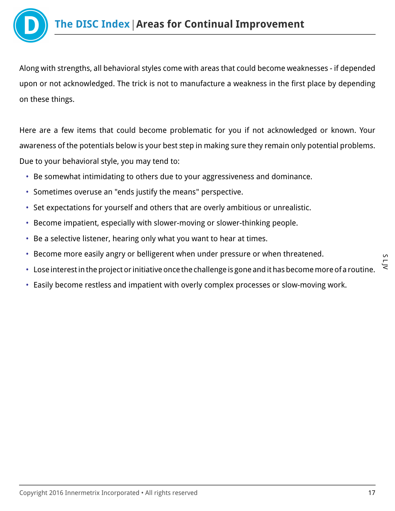

Along with strengths, all behavioral styles come with areas that could become weaknesses - if depended upon or not acknowledged. The trick is not to manufacture a weakness in the first place by depending on these things.

Here are a few items that could become problematic for you if not acknowledged or known. Your awareness of the potentials below is your best step in making sure they remain only potential problems. Due to your behavioral style, you may tend to:

- Be somewhat intimidating to others due to your aggressiveness and dominance.
- Sometimes overuse an "ends justify the means" perspective.
- Set expectations for yourself and others that are overly ambitious or unrealistic.
- Become impatient, especially with slower-moving or slower-thinking people.
- Be a selective listener, hearing only what you want to hear at times.
- Become more easily angry or belligerent when under pressure or when threatened.
- Lose interest in the project or initiative once the challenge is gone and it has become more of a routine.
- Easily become restless and impatient with overly complex processes or slow-moving work.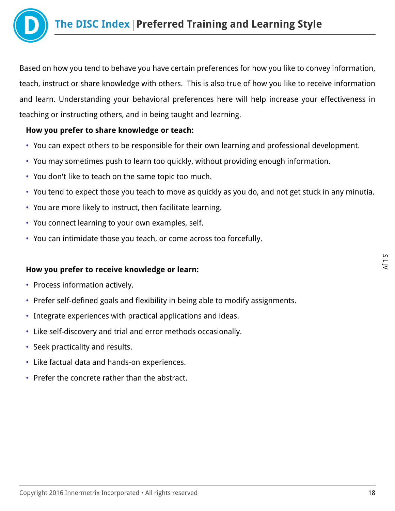

Based on how you tend to behave you have certain preferences for how you like to convey information, teach, instruct or share knowledge with others. This is also true of how you like to receive information and learn. Understanding your behavioral preferences here will help increase your effectiveness in teaching or instructing others, and in being taught and learning.

## How you prefer to share knowledge or teach:

- You can expect others to be responsible for their own learning and professional development.
- You may sometimes push to learn too quickly, without providing enough information.
- You don't like to teach on the same topic too much.
- You tend to expect those you teach to move as quickly as you do, and not get stuck in any minutia.
- You are more likely to instruct, then facilitate learning.
- You connect learning to your own examples, self.
- You can intimidate those you teach, or come across too forcefully.

#### How you prefer to receive knowledge or learn:

- Process information actively.
- Prefer self-defined goals and flexibility in being able to modify assignments.
- Integrate experiences with practical applications and ideas.
- Like self-discovery and trial and error methods occasionally.
- Seek practicality and results.
- Like factual data and hands-on experiences.
- Prefer the concrete rather than the abstract.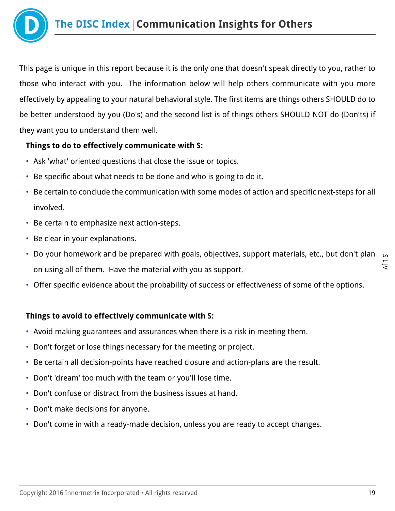

This page is unique in this report because it is the only one that doesn't speak directly to you, rather to those who interact with you. The information below will help others communicate with you more effectively by appealing to your natural behavioral style. The first items are things others SHOULD do to be better understood by you (Do's) and the second list is of things others SHOULD NOT do (Don'ts) if they want you to understand them well.

## Things to do to effectively communicate with S:

- Ask 'what' oriented questions that close the issue or topics.
- Be specific about what needs to be done and who is going to do it.
- Be certain to conclude the communication with some modes of action and specific next-steps for all involved.
- Be certain to emphasize next action-steps.
- Be clear in your explanations.
- S L JV • Do your homework and be prepared with goals, objectives, support materials, etc., but don't plan on using all of them. Have the material with you as support.
- Offer specific evidence about the probability of success or effectiveness of some of the options.

# Things to avoid to effectively communicate with S:

- Avoid making guarantees and assurances when there is a risk in meeting them.
- Don't forget or lose things necessary for the meeting or project.
- Be certain all decision-points have reached closure and action-plans are the result.
- Don't 'dream' too much with the team or you'll lose time.
- Don't confuse or distract from the business issues at hand.
- Don't make decisions for anyone.
- Don't come in with a ready-made decision, unless you are ready to accept changes.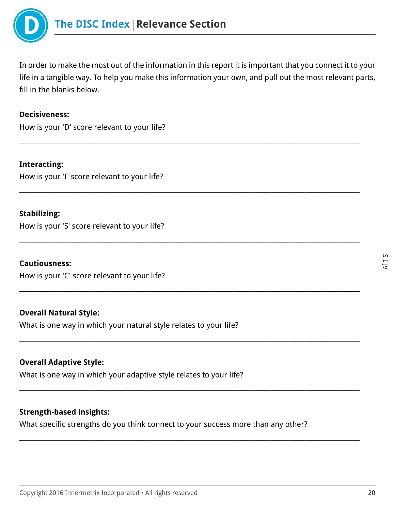

In order to make the most out of the information in this report it is important that you connect it to your life in a tangible way. To help you make this information your own, and pull out the most relevant parts, fill in the blanks below.

\_\_\_\_\_\_\_\_\_\_\_\_\_\_\_\_\_\_\_\_\_\_\_\_\_\_\_\_\_\_\_\_\_\_\_\_\_\_\_\_\_\_\_\_\_\_\_\_\_\_\_\_\_\_\_\_\_\_\_\_\_\_\_\_\_\_\_\_\_\_\_\_\_\_\_\_\_\_\_\_\_\_\_\_\_\_\_\_\_\_\_\_\_\_\_\_\_\_\_\_\_\_\_\_\_\_\_

\_\_\_\_\_\_\_\_\_\_\_\_\_\_\_\_\_\_\_\_\_\_\_\_\_\_\_\_\_\_\_\_\_\_\_\_\_\_\_\_\_\_\_\_\_\_\_\_\_\_\_\_\_\_\_\_\_\_\_\_\_\_\_\_\_\_\_\_\_\_\_\_\_\_\_\_\_\_\_\_\_\_\_\_\_\_\_\_\_\_\_\_\_\_\_\_\_\_\_\_\_\_\_\_\_\_\_

\_\_\_\_\_\_\_\_\_\_\_\_\_\_\_\_\_\_\_\_\_\_\_\_\_\_\_\_\_\_\_\_\_\_\_\_\_\_\_\_\_\_\_\_\_\_\_\_\_\_\_\_\_\_\_\_\_\_\_\_\_\_\_\_\_\_\_\_\_\_\_\_\_\_\_\_\_\_\_\_\_\_\_\_\_\_\_\_\_\_\_\_\_\_\_\_\_\_\_\_\_\_\_\_\_\_\_

\_\_\_\_\_\_\_\_\_\_\_\_\_\_\_\_\_\_\_\_\_\_\_\_\_\_\_\_\_\_\_\_\_\_\_\_\_\_\_\_\_\_\_\_\_\_\_\_\_\_\_\_\_\_\_\_\_\_\_\_\_\_\_\_\_\_\_\_\_\_\_\_\_\_\_\_\_\_\_\_\_\_\_\_\_\_\_\_\_\_\_\_\_\_\_\_\_\_\_\_\_\_\_\_\_\_\_

\_\_\_\_\_\_\_\_\_\_\_\_\_\_\_\_\_\_\_\_\_\_\_\_\_\_\_\_\_\_\_\_\_\_\_\_\_\_\_\_\_\_\_\_\_\_\_\_\_\_\_\_\_\_\_\_\_\_\_\_\_\_\_\_\_\_\_\_\_\_\_\_\_\_\_\_\_\_\_\_\_\_\_\_\_\_\_\_\_\_\_\_\_\_\_\_\_\_\_\_\_\_\_\_\_\_\_

\_\_\_\_\_\_\_\_\_\_\_\_\_\_\_\_\_\_\_\_\_\_\_\_\_\_\_\_\_\_\_\_\_\_\_\_\_\_\_\_\_\_\_\_\_\_\_\_\_\_\_\_\_\_\_\_\_\_\_\_\_\_\_\_\_\_\_\_\_\_\_\_\_\_\_\_\_\_\_\_\_\_\_\_\_\_\_\_\_\_\_\_\_\_\_\_\_\_\_\_\_\_\_\_\_\_\_

\_\_\_\_\_\_\_\_\_\_\_\_\_\_\_\_\_\_\_\_\_\_\_\_\_\_\_\_\_\_\_\_\_\_\_\_\_\_\_\_\_\_\_\_\_\_\_\_\_\_\_\_\_\_\_\_\_\_\_\_\_\_\_\_\_\_\_\_\_\_\_\_\_\_\_\_\_\_\_\_\_\_\_\_\_\_\_\_\_\_\_\_\_\_\_\_\_\_\_\_\_\_\_\_\_\_\_

#### Decisiveness:

How is your 'D' score relevant to your life?

Interacting: How is your 'I' score relevant to your life?

#### Stabilizing:

How is your 'S' score relevant to your life?

#### Cautiousness:

How is your 'C' score relevant to your life?

#### Overall Natural Style:

What is one way in which your natural style relates to your life?

#### Overall Adaptive Style:

What is one way in which your adaptive style relates to your life?

#### Strength-based insights:

What specific strengths do you think connect to your success more than any other?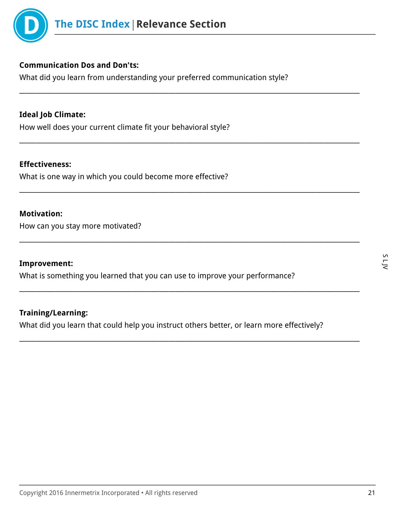

#### Communication Dos and Don'ts:

What did you learn from understanding your preferred communication style?

\_\_\_\_\_\_\_\_\_\_\_\_\_\_\_\_\_\_\_\_\_\_\_\_\_\_\_\_\_\_\_\_\_\_\_\_\_\_\_\_\_\_\_\_\_\_\_\_\_\_\_\_\_\_\_\_\_\_\_\_\_\_\_\_\_\_\_\_\_\_\_\_\_\_\_\_\_\_\_\_\_\_\_\_\_\_\_\_\_\_\_\_\_\_\_\_\_\_\_\_\_\_\_\_\_\_\_

\_\_\_\_\_\_\_\_\_\_\_\_\_\_\_\_\_\_\_\_\_\_\_\_\_\_\_\_\_\_\_\_\_\_\_\_\_\_\_\_\_\_\_\_\_\_\_\_\_\_\_\_\_\_\_\_\_\_\_\_\_\_\_\_\_\_\_\_\_\_\_\_\_\_\_\_\_\_\_\_\_\_\_\_\_\_\_\_\_\_\_\_\_\_\_\_\_\_\_\_\_\_\_\_\_\_\_

\_\_\_\_\_\_\_\_\_\_\_\_\_\_\_\_\_\_\_\_\_\_\_\_\_\_\_\_\_\_\_\_\_\_\_\_\_\_\_\_\_\_\_\_\_\_\_\_\_\_\_\_\_\_\_\_\_\_\_\_\_\_\_\_\_\_\_\_\_\_\_\_\_\_\_\_\_\_\_\_\_\_\_\_\_\_\_\_\_\_\_\_\_\_\_\_\_\_\_\_\_\_\_\_\_\_\_

\_\_\_\_\_\_\_\_\_\_\_\_\_\_\_\_\_\_\_\_\_\_\_\_\_\_\_\_\_\_\_\_\_\_\_\_\_\_\_\_\_\_\_\_\_\_\_\_\_\_\_\_\_\_\_\_\_\_\_\_\_\_\_\_\_\_\_\_\_\_\_\_\_\_\_\_\_\_\_\_\_\_\_\_\_\_\_\_\_\_\_\_\_\_\_\_\_\_\_\_\_\_\_\_\_\_\_

\_\_\_\_\_\_\_\_\_\_\_\_\_\_\_\_\_\_\_\_\_\_\_\_\_\_\_\_\_\_\_\_\_\_\_\_\_\_\_\_\_\_\_\_\_\_\_\_\_\_\_\_\_\_\_\_\_\_\_\_\_\_\_\_\_\_\_\_\_\_\_\_\_\_\_\_\_\_\_\_\_\_\_\_\_\_\_\_\_\_\_\_\_\_\_\_\_\_\_\_\_\_\_\_\_\_\_

\_\_\_\_\_\_\_\_\_\_\_\_\_\_\_\_\_\_\_\_\_\_\_\_\_\_\_\_\_\_\_\_\_\_\_\_\_\_\_\_\_\_\_\_\_\_\_\_\_\_\_\_\_\_\_\_\_\_\_\_\_\_\_\_\_\_\_\_\_\_\_\_\_\_\_\_\_\_\_\_\_\_\_\_\_\_\_\_\_\_\_\_\_\_\_\_\_\_\_\_\_\_\_\_\_\_\_

## Ideal Job Climate:

How well does your current climate fit your behavioral style?

#### Effectiveness:

What is one way in which you could become more effective?

#### Motivation:

How can you stay more motivated?

#### Improvement:

What is something you learned that you can use to improve your performance?

#### Training/Learning:

What did you learn that could help you instruct others better, or learn more effectively?